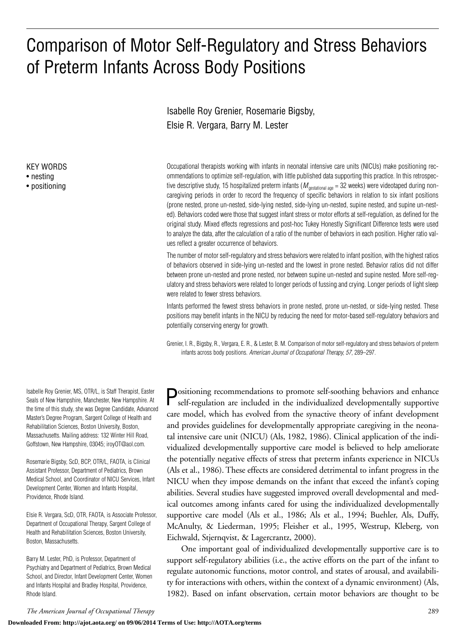# Comparison of Motor Self-Regulatory and Stress Behaviors of Preterm Infants Across Body Positions

Isabelle Roy Grenier, Rosemarie Bigsby, Elsie R. Vergara, Barry M. Lester

Occupational therapists working with infants in neonatal intensive care units (NICUs) make positioning recommendations to optimize self-regulation, with little published data supporting this practice. In this retrospective descriptive study, 15 hospitalized preterm infants ( $M_{\text{gestational age}} = 32$  weeks) were videotaped during noncaregiving periods in order to record the frequency of specific behaviors in relation to six infant positions (prone nested, prone un-nested, side-lying nested, side-lying un-nested, supine nested, and supine un-nested). Behaviors coded were those that suggest infant stress or motor efforts at self-regulation, as defined for the original study. Mixed effects regressions and post-hoc Tukey Honestly Significant Difference tests were used to analyze the data, after the calculation of a ratio of the number of behaviors in each position. Higher ratio values reflect a greater occurrence of behaviors.

The number of motor self-regulatoryand stress behaviors were related to infant position, with the highest ratios of behaviors observed in side-lying un-nested and the lowest in prone nested. Behavior ratios did not differ between prone un-nested and prone nested, nor between supine un-nested and supine nested. More self-regulatory and stress behaviors were related to longer periods of fussing and crying. Longer periods of light sleep were related to fewer stress behaviors.

Infants performed the fewest stress behaviors in prone nested, prone un-nested, or side-lying nested. These positions may benefit infants in the NICU by reducing the need for motor-based self-regulatory behaviors and potentially conserving energy for growth.

Grenier, I. R., Bigsby, R., Vergara, E. R., & Lester, B. M. Comparison of motor self-regulatory and stress behaviors of preterm infants across body positions. *American Journal of Occupational Therapy, 57*, 289–297.

**Positioning recommendations to promote self-soothing behaviors and enhance** self-regulation are included in the individualized developmentally supportive care model, which has evolved from the synactive theory of infant development and provides guidelines for developmentally appropriate caregiving in the neonatal intensive care unit (NICU) (Als, 1982, 1986). Clinical application of the individualized developmentally supportive care model is believed to help ameliorate the potentially negative effects of stress that preterm infants experience in NICUs (Als et al., 1986). These effects are considered detrimental to infant progress in the NICU when they impose demands on the infant that exceed the infant's coping abilities. Several studies have suggested improved overall developmental and medical outcomes among infants cared for using the individualized developmentally supportive care model (Als et al., 1986; Als et al., 1994; Buehler, Als, Duffy, McAnulty, & Liederman, 1995; Fleisher et al., 1995, Westrup, Kleberg, von Eichwald, Stjernqvist, & Lagercrantz, 2000).

One important goal of individualized developmentally supportive care is to support self-regulatory abilities (i.e., the active efforts on the part of the infant to regulate autonomic functions, motor control, and states of arousal, and availability for interactions with others, within the context of a dynamic environment) (Als, 1982). Based on infant observation, certain motor behaviors are thought to be

Isabelle Roy Grenier, MS, OTR/L, is Staff Therapist, Easter Seals of New Hampshire, Manchester, New Hampshire. At the time of this study, she was Degree Candidate, Advanced Master's Degree Program, Sargent College of Health and Rehabilitation Sciences, Boston University, Boston, Massachusetts. Mailing address: 132 Winter Hill Road, Goffstown, New Hampshire, 03045; iroyOT@aol.com.

KEY WORDS • nesting • positioning

Rosemarie Bigsby, ScD, BCP, OTR/L, FAOTA, is Clinical Assistant Professor, Department of Pediatrics, Brown Medical School, and Coordinator of NICU Services, Infant Development Center, Women and Infants Hospital, Providence, Rhode Island.

Elsie R. Vergara, ScD, OTR, FAOTA, is Associate Professor, Department of Occupational Therapy, Sargent College of Health and Rehabilitation Sciences, Boston University, Boston, Massachusetts.

Barry M. Lester, PhD, is Professor, Department of Psychiatry and Department of Pediatrics, Brown Medical School, and Director, Infant Development Center, Women and Infants Hospital and Bradley Hospital, Providence, Rhode Island.

**Downloaded From: http://ajot.aota.org/ on 09/06/2014 Terms of Use: http://AOTA.org/terms**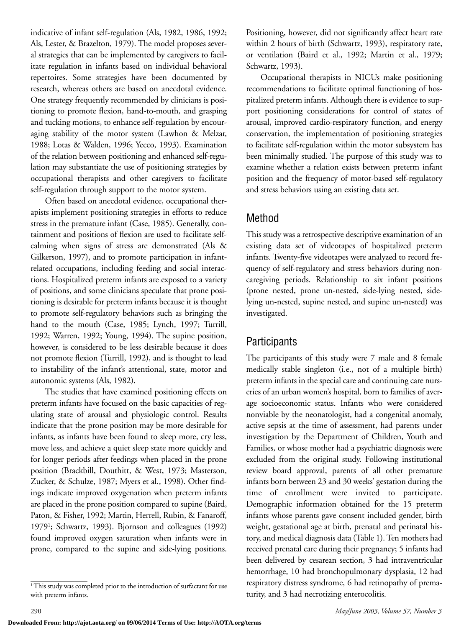indicative of infant self-regulation (Als, 1982, 1986, 1992; Als, Lester, & Brazelton, 1979). The model proposes several strategies that can be implemented by caregivers to facilitate regulation in infants based on individual behavioral repertoires. Some strategies have been documented by research, whereas others are based on anecdotal evidence. One strategy frequently recommended by clinicians is positioning to promote flexion, hand-to-mouth, and grasping and tucking motions, to enhance self-regulation by encouraging stability of the motor system (Lawhon & Melzar, 1988; Lotas & Walden, 1996; Yecco, 1993). Examination of the relation between positioning and enhanced self-regulation may substantiate the use of positioning strategies by occupational therapists and other caregivers to facilitate self-regulation through support to the motor system.

Often based on anecdotal evidence, occupational therapists implement positioning strategies in efforts to reduce stress in the premature infant (Case, 1985). Generally, containment and positions of flexion are used to facilitate selfcalming when signs of stress are demonstrated (Als & Gilkerson, 1997), and to promote participation in infantrelated occupations, including feeding and social interactions. Hospitalized preterm infants are exposed to a variety of positions, and some clinicians speculate that prone positioning is desirable for preterm infants because it is thought to promote self-regulatory behaviors such as bringing the hand to the mouth (Case, 1985; Lynch, 1997; Turrill, 1992; Warren, 1992; Young, 1994). The supine position, however, is considered to be less desirable because it does not promote flexion (Turrill, 1992), and is thought to lead to instability of the infant's attentional, state, motor and autonomic systems (Als, 1982).

The studies that have examined positioning effects on preterm infants have focused on the basic capacities of regulating state of arousal and physiologic control. Results indicate that the prone position may be more desirable for infants, as infants have been found to sleep more, cry less, move less, and achieve a quiet sleep state more quickly and for longer periods after feedings when placed in the prone position (Brackbill, Douthitt, & West, 1973; Masterson, Zucker, & Schulze, 1987; Myers et al., 1998). Other findings indicate improved oxygenation when preterm infants are placed in the prone position compared to supine (Baird, Paton, & Fisher, 1992; Martin, Herrell, Rubin, & Fanaroff, 19791; Schwartz, 1993). Bjornson and colleagues (1992) found improved oxygen saturation when infants were in prone, compared to the supine and side-lying positions.

Positioning, however, did not significantly affect heart rate within 2 hours of birth (Schwartz, 1993), respiratory rate, or ventilation (Baird et al., 1992; Martin et al., 1979; Schwartz, 1993).

Occupational therapists in NICUs make positioning recommendations to facilitate optimal functioning of hospitalized preterm infants. Although there is evidence to support positioning considerations for control of states of arousal, improved cardio-respiratory function, and energy conservation, the implementation of positioning strategies to facilitate self-regulation within the motor subsystem has been minimally studied. The purpose of this study was to examine whether a relation exists between preterm infant position and the frequency of motor-based self-regulatory and stress behaviors using an existing data set.

# Method

This study was a retrospective descriptive examination of an existing data set of videotapes of hospitalized preterm infants. Twenty-five videotapes were analyzed to record frequency of self-regulatory and stress behaviors during noncaregiving periods. Relationship to six infant positions (prone nested, prone un-nested, side-lying nested, sidelying un-nested, supine nested, and supine un-nested) was investigated.

# Participants

The participants of this study were 7 male and 8 female medically stable singleton (i.e., not of a multiple birth) preterm infants in the special care and continuing care nurseries of an urban women's hospital, born to families of average socioeconomic status. Infants who were considered nonviable by the neonatologist, had a congenital anomaly, active sepsis at the time of assessment, had parents under investigation by the Department of Children, Youth and Families, or whose mother had a psychiatric diagnosis were excluded from the original study. Following institutional review board approval, parents of all other premature infants born between 23 and 30 weeks' gestation during the time of enrollment were invited to participate. Demographic information obtained for the 15 preterm infants whose parents gave consent included gender, birth weight, gestational age at birth, prenatal and perinatal history, and medical diagnosis data (Table 1). Ten mothers had received prenatal care during their pregnancy; 5 infants had been delivered by cesarean section, 3 had intraventricular hemorrhage, 10 had bronchopulmonary dysplasia, 12 had respiratory distress syndrome, 6 had retinopathy of prematurity, and 3 had necrotizing enterocolitis.

<sup>&</sup>lt;sup>1</sup>This study was completed prior to the introduction of surfactant for use with preterm infants.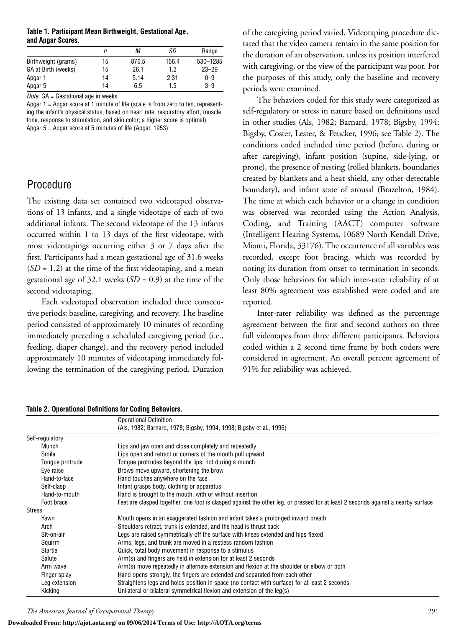#### **Table 1. Participant Mean Birthweight, Gestational Age, and Apgar Scores.**

|                     | п  | М     | SD    | Range     |
|---------------------|----|-------|-------|-----------|
| Birthweight (grams) | 15 | 876.5 | 156.4 | 530-1285  |
| GA at Birth (weeks) | 15 | 26.1  | 1.2   | $23 - 29$ |
| Apgar 1             | 14 | 5.14  | 2.31  | $0 - 9$   |
| Apgar 5             | 14 | 6.5   | 1.5   | $3 - 9$   |

*Note.* GA = Gestational age in weeks.

Apgar 1 = Apgar score at 1 minute of life (scale is from zero to ten, representing the infant's physical status, based on heart rate, respiratory effort, muscle tone, response to stimulation, and skin color; a higher score is optimal) Apgar 5 = Apgar score at 5 minutes of life (Apgar, 1953)

### Procedure

The existing data set contained two videotaped observations of 13 infants, and a single videotape of each of two additional infants. The second videotape of the 13 infants occurred within 1 to 13 days of the first videotape, with most videotapings occurring either 3 or 7 days after the first. Participants had a mean gestational age of 31.6 weeks  $(SD = 1.2)$  at the time of the first videotaping, and a mean gestational age of 32.1 weeks (*SD* = 0.9) at the time of the second videotaping.

Each videotaped observation included three consecutive periods: baseline, caregiving, and recovery. The baseline period consisted of approximately 10 minutes of recording immediately preceding a scheduled caregiving period (i.e., feeding, diaper change), and the recovery period included approximately 10 minutes of videotaping immediately following the termination of the caregiving period. Duration

#### **Table 2. Operational Definitions for Coding Behaviors.**

Operational Definition (Als, 1982; Barnard, 1978; Bigsby, 1994, 1998; Bigsby et al., 1996) Self-regulatory Munch Lips and jaw open and close completely and repeatedly Smile Smile Lips open and retract or corners of the mouth pull upward Tongue protrude Tongue protrudes beyond the lips; not during a munch Eye raise Brows move upward, shortening the brow Hand-to-face Hand touches anywhere on the face Self-clasp Infant grasps body, clothing or apparatus Hand-to-mouth Hand is brought to the mouth, with or without insertion Foot brace Feet are clasped together, one foot is clasped against the other leg, or pressed for at least 2 seconds against a nearby surface Stress Yawn Mouth opens in an exaggerated fashion and infant takes a prolonged inward breath Arch Shoulders retract, trunk is extended, and the head is thrust back Sit-on-air Legs are raised symmetrically off the surface with knees extended and hips flexed Squirm Arms, legs, and trunk are moved in a restless random fashion Startle **Startle** Quick, total body movement in response to a stimulus Salute **Arm(s)** and fingers are held in extension for at least 2 seconds Arm wave Arm(s) move repeatedly in alternate extension and flexion at the shoulder or elbow or both Finger splay Hand opens strongly, the fingers are extended and separated from each other Leg extension Straightens legs and holds position in space (no contact with surface) for at least 2 seconds Kicking Unilateral or bilateral symmetrical flexion and extension of the leg(s)

*The American Journal of Occupational Therapy* 291

#### **Downloaded From: http://ajot.aota.org/ on 09/06/2014 Terms of Use: http://AOTA.org/terms**

of the caregiving period varied. Videotaping procedure dictated that the video camera remain in the same position for the duration of an observation, unless its position interfered with caregiving, or the view of the participant was poor. For the purposes of this study, only the baseline and recovery periods were examined.

The behaviors coded for this study were categorized as self-regulatory or stress in nature based on definitions used in other studies (Als, 1982; Barnard, 1978; Bigsby, 1994; Bigsby, Coster, Lester, & Peucker, 1996; see Table 2). The conditions coded included time period (before, during or after caregiving), infant position (supine, side-lying, or prone), the presence of nesting (rolled blankets, boundaries created by blankets and a heat shield, any other detectable boundary), and infant state of arousal (Brazelton, 1984). The time at which each behavior or a change in condition was observed was recorded using the Action Analysis, Coding, and Training (AACT) computer software (Intelligent Hearing Systems, 10689 North Kendall Drive, Miami, Florida, 33176). The occurrence of all variables was recorded, except foot bracing, which was recorded by noting its duration from onset to termination in seconds. Only those behaviors for which inter-rater reliability of at least 80% agreement was established were coded and are reported.

Inter-rater reliability was defined as the percentage agreement between the first and second authors on three full videotapes from three different participants. Behaviors coded within a 2 second time frame by both coders were considered in agreement. An overall percent agreement of 91% for reliability was achieved.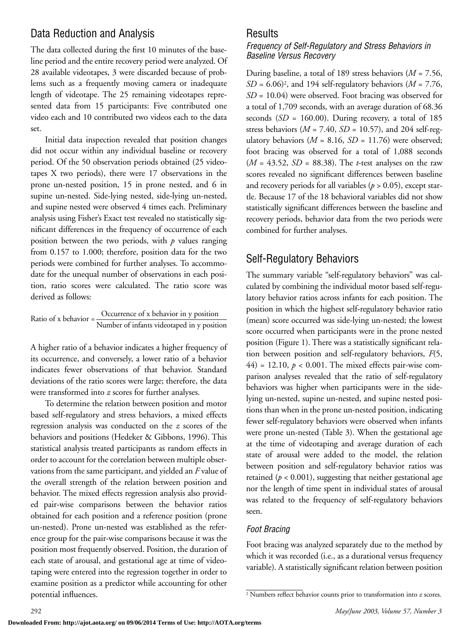# Data Reduction and Analysis

The data collected during the first 10 minutes of the baseline period and the entire recovery period were analyzed. Of 28 available videotapes, 3 were discarded because of problems such as a frequently moving camera or inadequate length of videotape. The 25 remaining videotapes represented data from 15 participants: Five contributed one video each and 10 contributed two videos each to the data set.

Initial data inspection revealed that position changes did not occur within any individual baseline or recovery period. Of the 50 observation periods obtained (25 videotapes X two periods), there were 17 observations in the prone un-nested position, 15 in prone nested, and 6 in supine un-nested. Side-lying nested, side-lying un-nested, and supine nested were observed 4 times each. Preliminary analysis using Fisher's Exact test revealed no statistically significant differences in the frequency of occurrence of each position between the two periods, with *p* values ranging from 0.157 to 1.000; therefore, position data for the two periods were combined for further analyses. To accommodate for the unequal number of observations in each position, ratio scores were calculated. The ratio score was derived as follows:

Ratio of x behavior = 
$$
\frac{Occurrence of x behavior in y position}{Number of infants videotaped in y position}
$$

A higher ratio of a behavior indicates a higher frequency of its occurrence, and conversely, a lower ratio of a behavior indicates fewer observations of that behavior. Standard deviations of the ratio scores were large; therefore, the data were transformed into *z* scores for further analyses.

To determine the relation between position and motor based self-regulatory and stress behaviors, a mixed effects regression analysis was conducted on the *z* scores of the behaviors and positions (Hedeker & Gibbons, 1996). This statistical analysis treated participants as random effects in order to account for the correlation between multiple observations from the same participant, and yielded an *F* value of the overall strength of the relation between position and behavior. The mixed effects regression analysis also provided pair-wise comparisons between the behavior ratios obtained for each position and a reference position (prone un-nested). Prone un-nested was established as the reference group for the pair-wise comparisons because it was the position most frequently observed. Position, the duration of each state of arousal, and gestational age at time of videotaping were entered into the regression together in order to examine position as a predictor while accounting for other potential influences.

### Results

#### *Frequency of Self-Regulatory and Stress Behaviors in Baseline Versus Recovery*

During baseline, a total of 189 stress behaviors (*M* = 7.56,  $SD = 6.06$ <sup>2</sup>, and 194 self-regulatory behaviors ( $M = 7.76$ , *SD* = 10.04) were observed. Foot bracing was observed for a total of 1,709 seconds, with an average duration of 68.36 seconds (*SD* = 160.00). During recovery, a total of 185 stress behaviors ( $M = 7.40$ ,  $SD = 10.57$ ), and 204 self-regulatory behaviors  $(M = 8.16, SD = 11.76)$  were observed; foot bracing was observed for a total of 1,088 seconds (*M* = 43.52, *SD* = 88.38). The *t*-test analyses on the raw scores revealed no significant differences between baseline and recovery periods for all variables ( $p > 0.05$ ), except startle. Because 17 of the 18 behavioral variables did not show statistically significant differences between the baseline and recovery periods, behavior data from the two periods were combined for further analyses.

# Self-Regulatory Behaviors

The summary variable "self-regulatory behaviors" was calculated by combining the individual motor based self-regulatory behavior ratios across infants for each position. The position in which the highest self-regulatory behavior ratio (mean) score occurred was side-lying un-nested; the lowest score occurred when participants were in the prone nested position (Figure 1). There was a statistically significant relation between position and self-regulatory behaviors, *F*(5,  $44$ ) = 12.10,  $p < 0.001$ . The mixed effects pair-wise comparison analyses revealed that the ratio of self-regulatory behaviors was higher when participants were in the sidelying un-nested, supine un-nested, and supine nested positions than when in the prone un-nested position, indicating fewer self-regulatory behaviors were observed when infants were prone un-nested (Table 3). When the gestational age at the time of videotaping and average duration of each state of arousal were added to the model, the relation between position and self-regulatory behavior ratios was retained ( $p < 0.001$ ), suggesting that neither gestational age nor the length of time spent in individual states of arousal was related to the frequency of self-regulatory behaviors seen.

### *Foot Bracing*

Foot bracing was analyzed separately due to the method by which it was recorded (i.e., as a durational versus frequency variable). A statistically significant relation between position

<sup>2</sup> Numbers reflect behavior counts prior to transformation into *z* scores.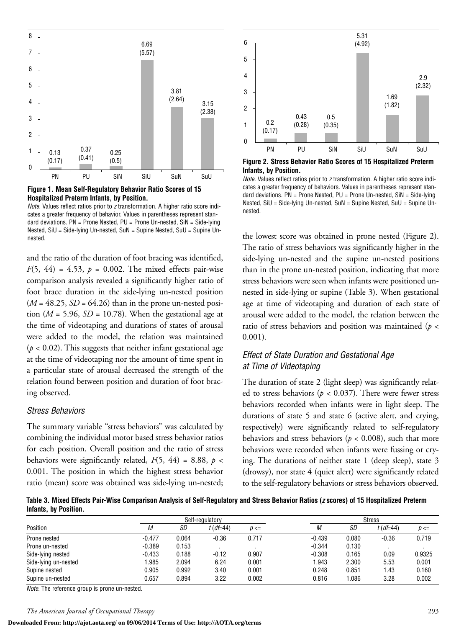



*Note.* Values reflect ratios prior to *z* transformation. A higher ratio score indicates a greater frequency of behavior. Values in parentheses represent standard deviations.  $PN =$  Prone Nested,  $PU =$  Prone Un-nested,  $SiN =$  Side-lying Nested, SiU = Side-lying Un-nested, SuN = Supine Nested, SuU = Supine Unnested.

and the ratio of the duration of foot bracing was identified, *F*(5, 44) = 4.53,  $p = 0.002$ . The mixed effects pair-wise comparison analysis revealed a significantly higher ratio of foot brace duration in the side-lying un-nested position  $(M = 48.25, SD = 64.26)$  than in the prone un-nested position ( $M = 5.96$ ,  $SD = 10.78$ ). When the gestational age at the time of videotaping and durations of states of arousal were added to the model, the relation was maintained  $(p < 0.02)$ . This suggests that neither infant gestational age at the time of videotaping nor the amount of time spent in a particular state of arousal decreased the strength of the relation found between position and duration of foot bracing observed.

#### *Stress Behaviors*

The summary variable "stress behaviors" was calculated by combining the individual motor based stress behavior ratios for each position. Overall position and the ratio of stress behaviors were significantly related,  $F(5, 44) = 8.88$ ,  $p <$ 0.001. The position in which the highest stress behavior ratio (mean) score was obtained was side-lying un-nested;



**Figure 2. Stress Behavior Ratio Scores of 15 Hospitalized Preterm Infants, by Position.**

*Note.* Values reflect ratios prior to *z* transformation. A higher ratio score indicates a greater frequency of behaviors. Values in parentheses represent standard deviations.  $PN =$  Prone Nested,  $PU =$  Prone Un-nested,  $SiN =$  Side-lying Nested, SiU = Side-lying Un-nested, SuN = Supine Nested, SuU = Supine Unnested.

the lowest score was obtained in prone nested (Figure 2). The ratio of stress behaviors was significantly higher in the side-lying un-nested and the supine un-nested positions than in the prone un-nested position, indicating that more stress behaviors were seen when infants were positioned unnested in side-lying or supine (Table 3). When gestational age at time of videotaping and duration of each state of arousal were added to the model, the relation between the ratio of stress behaviors and position was maintained (*p* < 0.001).

### *Effect of State Duration and Gestational Age at Time of Videotaping*

The duration of state 2 (light sleep) was significantly related to stress behaviors ( $p < 0.037$ ). There were fewer stress behaviors recorded when infants were in light sleep. The durations of state 5 and state 6 (active alert, and crying, respectively) were significantly related to self-regulatory behaviors and stress behaviors ( $p < 0.008$ ), such that more behaviors were recorded when infants were fussing or crying. The durations of neither state 1 (deep sleep), state 3 (drowsy), nor state 4 (quiet alert) were significantly related to the self-regulatory behaviors or stress behaviors observed.

**Table 3. Mixed Effects Pair-Wise Comparison Analysis of Self-Regulatory and Stress Behavior Ratios (***z* **scores) of 15 Hospitalized Preterm Infants, by Position.**

|                      |          | Self-regulatory |             |          | <b>Stress</b> |       |             |          |
|----------------------|----------|-----------------|-------------|----------|---------------|-------|-------------|----------|
| Position             | М        | SD              | $t$ (df=44) | $D \leq$ | М             | SD    | $t$ (df=44) | $p \leq$ |
| Prone nested         | $-0.477$ | 0.064           | $-0.36$     | 0.717    | $-0.439$      | 0.080 | $-0.36$     | 0.719    |
| Prone un-nested      | $-0.389$ | 0.153           |             |          | $-0.344$      | 0.130 |             |          |
| Side-lying nested    | $-0.433$ | 0.188           | $-0.12$     | 0.907    | $-0.308$      | 0.165 | 0.09        | 0.9325   |
| Side-lying un-nested | 1.985    | 2.094           | 6.24        | 0.001    | 1.943         | 2.300 | 5.53        | 0.001    |
| Supine nested        | 0.905    | 0.992           | 3.40        | 0.001    | 0.248         | 0.851 | 1.43        | 0.160    |
| Supine un-nested     | 0.657    | 0.894           | 3.22        | 0.002    | 0.816         | .086  | 3.28        | 0.002    |

*Note.* The reference group is prone un-nested.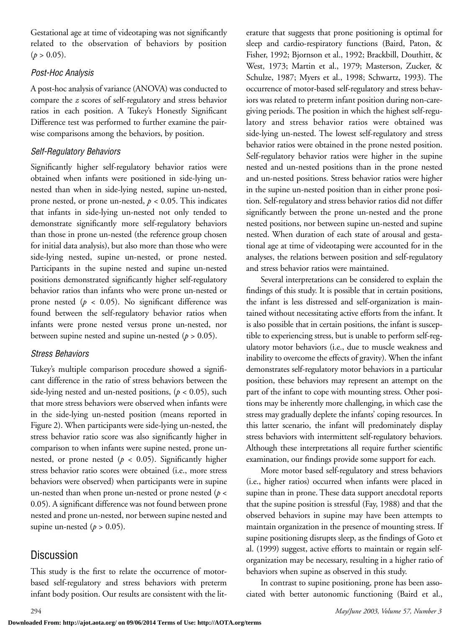Gestational age at time of videotaping was not significantly related to the observation of behaviors by position  $(p > 0.05)$ .

### *Post-Hoc Analysis*

A post-hoc analysis of variance (ANOVA) was conducted to compare the *z* scores of self-regulatory and stress behavior ratios in each position. A Tukey's Honestly Significant Difference test was performed to further examine the pairwise comparisons among the behaviors, by position.

### *Self-Regulatory Behaviors*

Significantly higher self-regulatory behavior ratios were obtained when infants were positioned in side-lying unnested than when in side-lying nested, supine un-nested, prone nested, or prone un-nested, *p* < 0.05. This indicates that infants in side-lying un-nested not only tended to demonstrate significantly more self-regulatory behaviors than those in prone un-nested (the reference group chosen for initial data analysis), but also more than those who were side-lying nested, supine un-nested, or prone nested. Participants in the supine nested and supine un-nested positions demonstrated significantly higher self-regulatory behavior ratios than infants who were prone un-nested or prone nested  $(p < 0.05)$ . No significant difference was found between the self-regulatory behavior ratios when infants were prone nested versus prone un-nested, nor between supine nested and supine un-nested  $(p > 0.05)$ .

### *Stress Behaviors*

Tukey's multiple comparison procedure showed a significant difference in the ratio of stress behaviors between the side-lying nested and un-nested positions,  $(p < 0.05)$ , such that more stress behaviors were observed when infants were in the side-lying un-nested position (means reported in Figure 2). When participants were side-lying un-nested, the stress behavior ratio score was also significantly higher in comparison to when infants were supine nested, prone unnested, or prone nested ( $p < 0.05$ ). Significantly higher stress behavior ratio scores were obtained (i.e., more stress behaviors were observed) when participants were in supine un-nested than when prone un-nested or prone nested (*p* < 0.05). A significant difference was not found between prone nested and prone un-nested, nor between supine nested and supine un-nested  $(p > 0.05)$ .

# Discussion

This study is the first to relate the occurrence of motorbased self-regulatory and stress behaviors with preterm infant body position. Our results are consistent with the literature that suggests that prone positioning is optimal for sleep and cardio-respiratory functions (Baird, Paton, & Fisher, 1992; Bjornson et al., 1992; Brackbill, Douthitt, & West, 1973; Martin et al., 1979; Masterson, Zucker, & Schulze, 1987; Myers et al., 1998; Schwartz, 1993). The occurrence of motor-based self-regulatory and stress behaviors was related to preterm infant position during non-caregiving periods. The position in which the highest self-regulatory and stress behavior ratios were obtained was side-lying un-nested. The lowest self-regulatory and stress behavior ratios were obtained in the prone nested position. Self-regulatory behavior ratios were higher in the supine nested and un-nested positions than in the prone nested and un-nested positions. Stress behavior ratios were higher in the supine un-nested position than in either prone position. Self-regulatory and stress behavior ratios did not differ significantly between the prone un-nested and the prone nested positions, nor between supine un-nested and supine nested. When duration of each state of arousal and gestational age at time of videotaping were accounted for in the analyses, the relations between position and self-regulatory and stress behavior ratios were maintained.

Several interpretations can be considered to explain the findings of this study. It is possible that in certain positions, the infant is less distressed and self-organization is maintained without necessitating active efforts from the infant. It is also possible that in certain positions, the infant is susceptible to experiencing stress, but is unable to perform self-regulatory motor behaviors (i.e., due to muscle weakness and inability to overcome the effects of gravity). When the infant demonstrates self-regulatory motor behaviors in a particular position, these behaviors may represent an attempt on the part of the infant to cope with mounting stress. Other positions may be inherently more challenging, in which case the stress may gradually deplete the infants' coping resources. In this latter scenario, the infant will predominately display stress behaviors with intermittent self-regulatory behaviors. Although these interpretations all require further scientific examination, our findings provide some support for each.

More motor based self-regulatory and stress behaviors (i.e., higher ratios) occurred when infants were placed in supine than in prone. These data support anecdotal reports that the supine position is stressful (Fay, 1988) and that the observed behaviors in supine may have been attempts to maintain organization in the presence of mounting stress. If supine positioning disrupts sleep, as the findings of Goto et al. (1999) suggest, active efforts to maintain or regain selforganization may be necessary, resulting in a higher ratio of behaviors when supine as observed in this study.

In contrast to supine positioning, prone has been associated with better autonomic functioning (Baird et al.,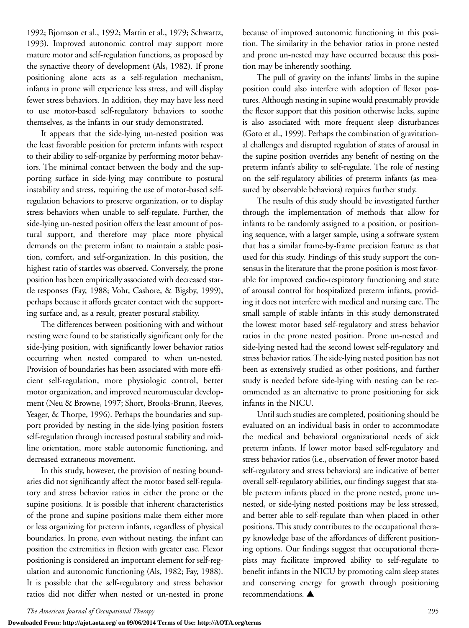1992; Bjornson et al., 1992; Martin et al., 1979; Schwartz, 1993). Improved autonomic control may support more mature motor and self-regulation functions, as proposed by the synactive theory of development (Als, 1982). If prone positioning alone acts as a self-regulation mechanism, infants in prone will experience less stress, and will display fewer stress behaviors. In addition, they may have less need to use motor-based self-regulatory behaviors to soothe themselves, as the infants in our study demonstrated.

It appears that the side-lying un-nested position was the least favorable position for preterm infants with respect to their ability to self-organize by performing motor behaviors. The minimal contact between the body and the supporting surface in side-lying may contribute to postural instability and stress, requiring the use of motor-based selfregulation behaviors to preserve organization, or to display stress behaviors when unable to self-regulate. Further, the side-lying un-nested position offers the least amount of postural support, and therefore may place more physical demands on the preterm infant to maintain a stable position, comfort, and self-organization. In this position, the highest ratio of startles was observed. Conversely, the prone position has been empirically associated with decreased startle responses (Fay, 1988; Vohr, Cashore, & Bigsby, 1999), perhaps because it affords greater contact with the supporting surface and, as a result, greater postural stability.

The differences between positioning with and without nesting were found to be statistically significant only for the side-lying position, with significantly lower behavior ratios occurring when nested compared to when un-nested. Provision of boundaries has been associated with more efficient self-regulation, more physiologic control, better motor organization, and improved neuromuscular development (Neu & Browne, 1997; Short, Brooks-Brunn, Reeves, Yeager, & Thorpe, 1996). Perhaps the boundaries and support provided by nesting in the side-lying position fosters self-regulation through increased postural stability and midline orientation, more stable autonomic functioning, and decreased extraneous movement.

In this study, however, the provision of nesting boundaries did not significantly affect the motor based self-regulatory and stress behavior ratios in either the prone or the supine positions. It is possible that inherent characteristics of the prone and supine positions make them either more or less organizing for preterm infants, regardless of physical boundaries. In prone, even without nesting, the infant can position the extremities in flexion with greater ease. Flexor positioning is considered an important element for self-regulation and autonomic functioning (Als, 1982; Fay, 1988). It is possible that the self-regulatory and stress behavior ratios did not differ when nested or un-nested in prone because of improved autonomic functioning in this position. The similarity in the behavior ratios in prone nested and prone un-nested may have occurred because this position may be inherently soothing.

The pull of gravity on the infants' limbs in the supine position could also interfere with adoption of flexor postures. Although nesting in supine would presumably provide the flexor support that this position otherwise lacks, supine is also associated with more frequent sleep disturbances (Goto et al., 1999). Perhaps the combination of gravitational challenges and disrupted regulation of states of arousal in the supine position overrides any benefit of nesting on the preterm infant's ability to self-regulate. The role of nesting on the self-regulatory abilities of preterm infants (as measured by observable behaviors) requires further study.

The results of this study should be investigated further through the implementation of methods that allow for infants to be randomly assigned to a position, or positioning sequence, with a larger sample, using a software system that has a similar frame-by-frame precision feature as that used for this study. Findings of this study support the consensus in the literature that the prone position is most favorable for improved cardio-respiratory functioning and state of arousal control for hospitalized preterm infants, providing it does not interfere with medical and nursing care. The small sample of stable infants in this study demonstrated the lowest motor based self-regulatory and stress behavior ratios in the prone nested position. Prone un-nested and side-lying nested had the second lowest self-regulatory and stress behavior ratios. The side-lying nested position has not been as extensively studied as other positions, and further study is needed before side-lying with nesting can be recommended as an alternative to prone positioning for sick infants in the NICU.

Until such studies are completed, positioning should be evaluated on an individual basis in order to accommodate the medical and behavioral organizational needs of sick preterm infants. If lower motor based self-regulatory and stress behavior ratios (i.e., observation of fewer motor-based self-regulatory and stress behaviors) are indicative of better overall self-regulatory abilities, our findings suggest that stable preterm infants placed in the prone nested, prone unnested, or side-lying nested positions may be less stressed, and better able to self-regulate than when placed in other positions. This study contributes to the occupational therapy knowledge base of the affordances of different positioning options. Our findings suggest that occupational therapists may facilitate improved ability to self-regulate to benefit infants in the NICU by promoting calm sleep states and conserving energy for growth through positioning recommendations. **▲**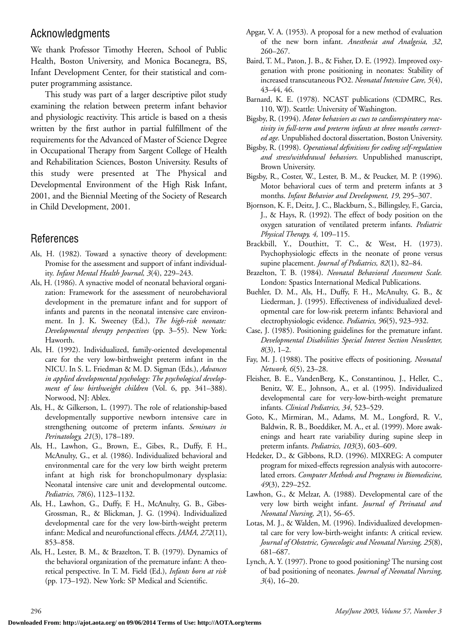### Acknowledgments

We thank Professor Timothy Heeren, School of Public Health, Boston University, and Monica Bocanegra, BS, Infant Development Center, for their statistical and computer programming assistance.

This study was part of a larger descriptive pilot study examining the relation between preterm infant behavior and physiologic reactivity. This article is based on a thesis written by the first author in partial fulfillment of the requirements for the Advanced of Master of Science Degree in Occupational Therapy from Sargent College of Health and Rehabilitation Sciences, Boston University. Results of this study were presented at The Physical and Developmental Environment of the High Risk Infant, 2001, and the Biennial Meeting of the Society of Research in Child Development, 2001.

### References

- Als, H. (1982). Toward a synactive theory of development: Promise for the assessment and support of infant individuality. *Infant Mental Health Journal, 3*(4), 229–243.
- Als, H. (1986). A synactive model of neonatal behavioral organization: Framework for the assessment of neurobehavioral development in the premature infant and for support of infants and parents in the neonatal intensive care environment. In J. K. Sweeney (Ed.), *The high-risk neonate: Developmental therapy perspectives* (pp. 3–55). New York: Haworth.
- Als, H. (1992). Individualized, family-oriented developmental care for the very low-birthweight preterm infant in the NICU. In S. L. Friedman & M. D. Sigman (Eds.), *Advances in applied developmental psychology: The psychological development of low birthweight children* (Vol. 6, pp. 341–388). Norwood, NJ: Ablex.
- Als, H., & Gilkerson, L. (1997). The role of relationship-based developmentally supportive newborn intensive care in strengthening outcome of preterm infants. *Seminars in Perinatology, 21*(3), 178–189.
- Als, H., Lawhon, G., Brown, E., Gibes, R., Duffy, F. H., McAnulty, G., et al. (1986). Individualized behavioral and environmental care for the very low birth weight preterm infant at high risk for bronchopulmonary dysplasia: Neonatal intensive care unit and developmental outcome. *Pediatrics, 78*(6), 1123–1132.
- Als, H., Lawhon, G., Duffy, F. H., McAnulty, G. B., Gibes-Grossman, R., & Blickman, J. G. (1994). Individualized developmental care for the very low-birth-weight preterm infant: Medical and neurofunctional effects. *JAMA, 272*(11), 853–858.
- Als, H., Lester, B. M., & Brazelton, T. B. (1979). Dynamics of the behavioral organization of the premature infant: A theoretical perspective. In T. M. Field (Ed.), *Infants born at risk* (pp. 173–192). New York: SP Medical and Scientific.
- Apgar, V. A. (1953). A proposal for a new method of evaluation of the new born infant. *Anesthesia and Analgesia, 32*, 260–267.
- Baird, T. M., Paton, J. B., & Fisher, D. E. (1992). Improved oxygenation with prone positioning in neonates: Stability of increased transcutaneous PO2. *Neonatal Intensive Care, 5*(4), 43–44, 46.
- Barnard, K. E. (1978). NCAST publications (CDMRC, Res. 110, WJ). Seattle: University of Washington.
- Bigsby, R. (1994). *Motor behaviors as cues to cardiorespiratory reactivity in full-term and preterm infants at three months corrected age.* Unpublished doctoral dissertation, Boston University.
- Bigsby, R. (1998). *Operational definitions for coding self-regulation and stress/withdrawal behaviors.* Unpublished manuscript, Brown University.
- Bigsby, R., Coster, W., Lester, B. M., & Peucker, M. P. (1996). Motor behavioral cues of term and preterm infants at 3 months. *Infant Behavior and Development, 19*, 295–307.
- Bjornson, K. F., Deitz, J. C., Blackburn, S., Billingsley, F., Garcia, J., & Hays, R. (1992). The effect of body position on the oxygen saturation of ventilated preterm infants. *Pediatric Physical Therapy, 4,* 109–115.
- Brackbill, Y., Douthitt, T. C., & West, H. (1973). Psychophysiologic effects in the neonate of prone versus supine placement. *Journal of Pediatrics, 82*(1), 82–84.
- Brazelton, T. B. (1984). *Neonatal Behavioral Assessment Scale.* London: Spastics International Medical Publications.
- Buehler, D. M., Als, H., Duffy, F. H., McAnulty, G. B., & Liederman, J. (1995). Effectiveness of individualized developmental care for low-risk preterm infants: Behavioral and electrophysiologic evidence. *Pediatrics, 96*(5), 923–932.
- Case, J. (1985). Positioning guidelines for the premature infant. *Developmental Disabilities Special Interest Section Newsletter, 8*(3), 1–2.
- Fay, M. J. (1988). The positive effects of positioning. *Neonatal Network, 6*(5), 23–28.
- Fleisher, B. E., VandenBerg, K., Constantinou, J., Heller, C., Benitz, W. E., Johnson, A., et al. (1995). Individualized developmental care for very-low-birth-weight premature infants. *Clinical Pediatrics, 34*, 523–529.
- Goto, K., Mirmiran, M., Adams, M. M., Longford, R. V., Baldwin, R. B., Boeddiker, M. A., et al. (1999). More awakenings and heart rate variability during supine sleep in preterm infants. *Pediatrics, 103*(3), 603–609.
- Hedeker, D., & Gibbons, R.D. (1996). MIXREG: A computer program for mixed-effects regression analysis with autocorrelated errors. *Computer Methods and Programs in Biomedicine, 49*(3), 229–252.
- Lawhon, G., & Melzar, A. (1988). Developmental care of the very low birth weight infant. *Journal of Perinatal and Neonatal Nursing, 2*(1), 56–65.
- Lotas, M. J., & Walden, M. (1996). Individualized developmental care for very low-birth-weight infants: A critical review. *Journal of Obstetric, Gynecologic and Neonatal Nursing, 25*(8), 681–687.
- Lynch, A. Y. (1997). Prone to good positioning? The nursing cost of bad positioning of neonates. *Journal of Neonatal Nursing, 3*(4), 16–20.